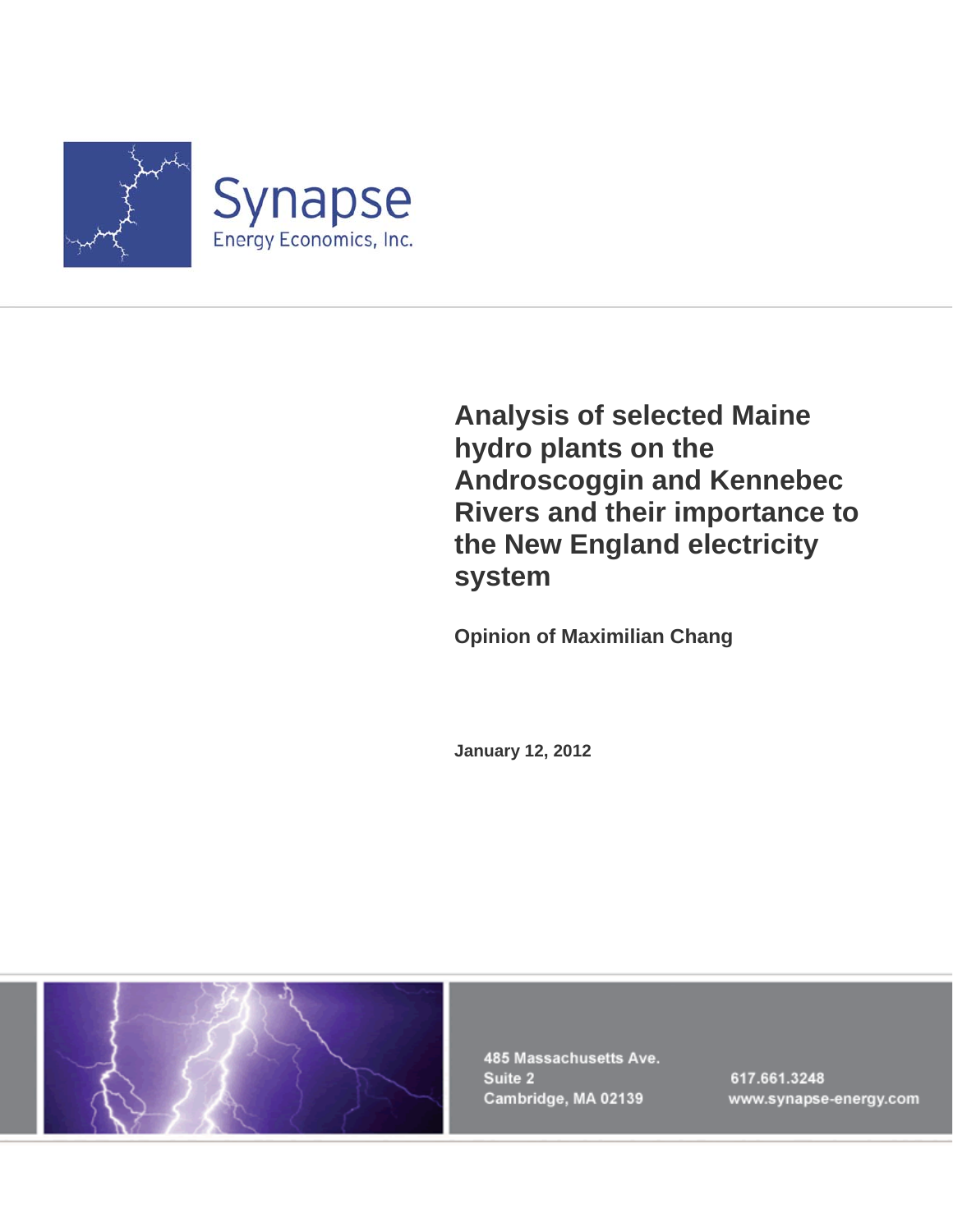

**Analysis of selected Maine hydro plants on the Androscoggin and Kennebec Rivers and their importance to the New England electricity system** 

**Opinion of Maximilian Chang** 

**January 12, 2012** 



485 Massachusetts Ave. Suite 2 Cambridge, MA 02139

617.661.3248 www.synapse-energy.com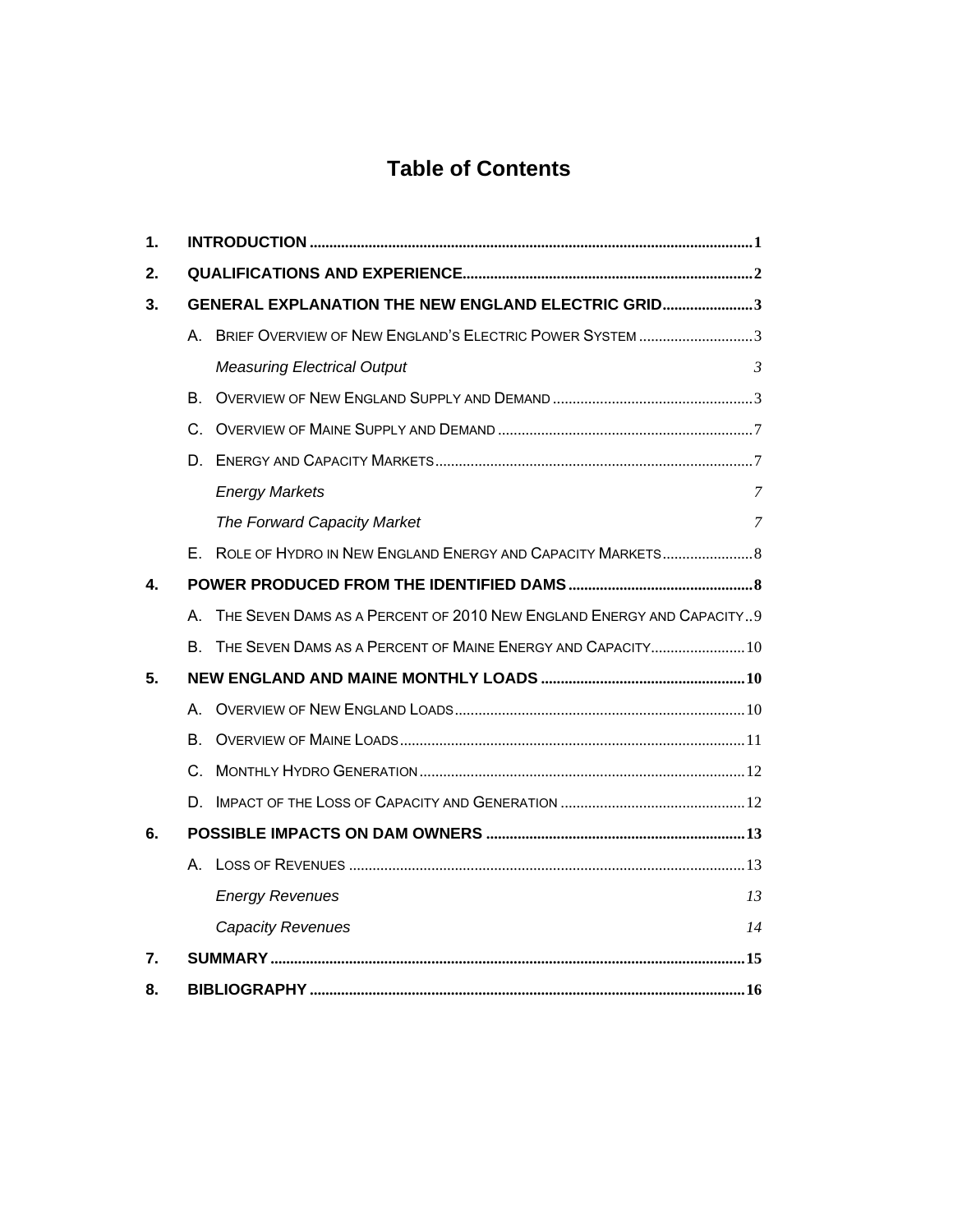### **Table of Contents**

| 1. |                                                           |                                                                      |         |  |  |  |
|----|-----------------------------------------------------------|----------------------------------------------------------------------|---------|--|--|--|
| 2. |                                                           |                                                                      |         |  |  |  |
| 3. | <b>GENERAL EXPLANATION THE NEW ENGLAND ELECTRIC GRID3</b> |                                                                      |         |  |  |  |
|    |                                                           | A. BRIEF OVERVIEW OF NEW ENGLAND'S ELECTRIC POWER SYSTEM 3           |         |  |  |  |
|    |                                                           | <b>Measuring Electrical Output</b>                                   | $\beta$ |  |  |  |
|    | В.                                                        |                                                                      |         |  |  |  |
|    | C.                                                        |                                                                      |         |  |  |  |
|    | D.                                                        |                                                                      |         |  |  |  |
|    |                                                           | <b>Energy Markets</b>                                                | 7       |  |  |  |
|    |                                                           | The Forward Capacity Market                                          | 7       |  |  |  |
|    |                                                           |                                                                      |         |  |  |  |
| 4. |                                                           |                                                                      |         |  |  |  |
|    | A                                                         | THE SEVEN DAMS AS A PERCENT OF 2010 NEW ENGLAND ENERGY AND CAPACITY9 |         |  |  |  |
|    | В.                                                        | THE SEVEN DAMS AS A PERCENT OF MAINE ENERGY AND CAPACITY 10          |         |  |  |  |
| 5. |                                                           |                                                                      |         |  |  |  |
|    | А.                                                        |                                                                      |         |  |  |  |
|    | В.                                                        |                                                                      |         |  |  |  |
|    |                                                           |                                                                      |         |  |  |  |
|    | D.                                                        |                                                                      |         |  |  |  |
| 6. |                                                           |                                                                      |         |  |  |  |
|    |                                                           |                                                                      |         |  |  |  |
|    |                                                           | <b>Energy Revenues</b>                                               | 13      |  |  |  |
|    |                                                           | <b>Capacity Revenues</b>                                             | 14      |  |  |  |
| 7. |                                                           |                                                                      |         |  |  |  |
| 8. |                                                           |                                                                      |         |  |  |  |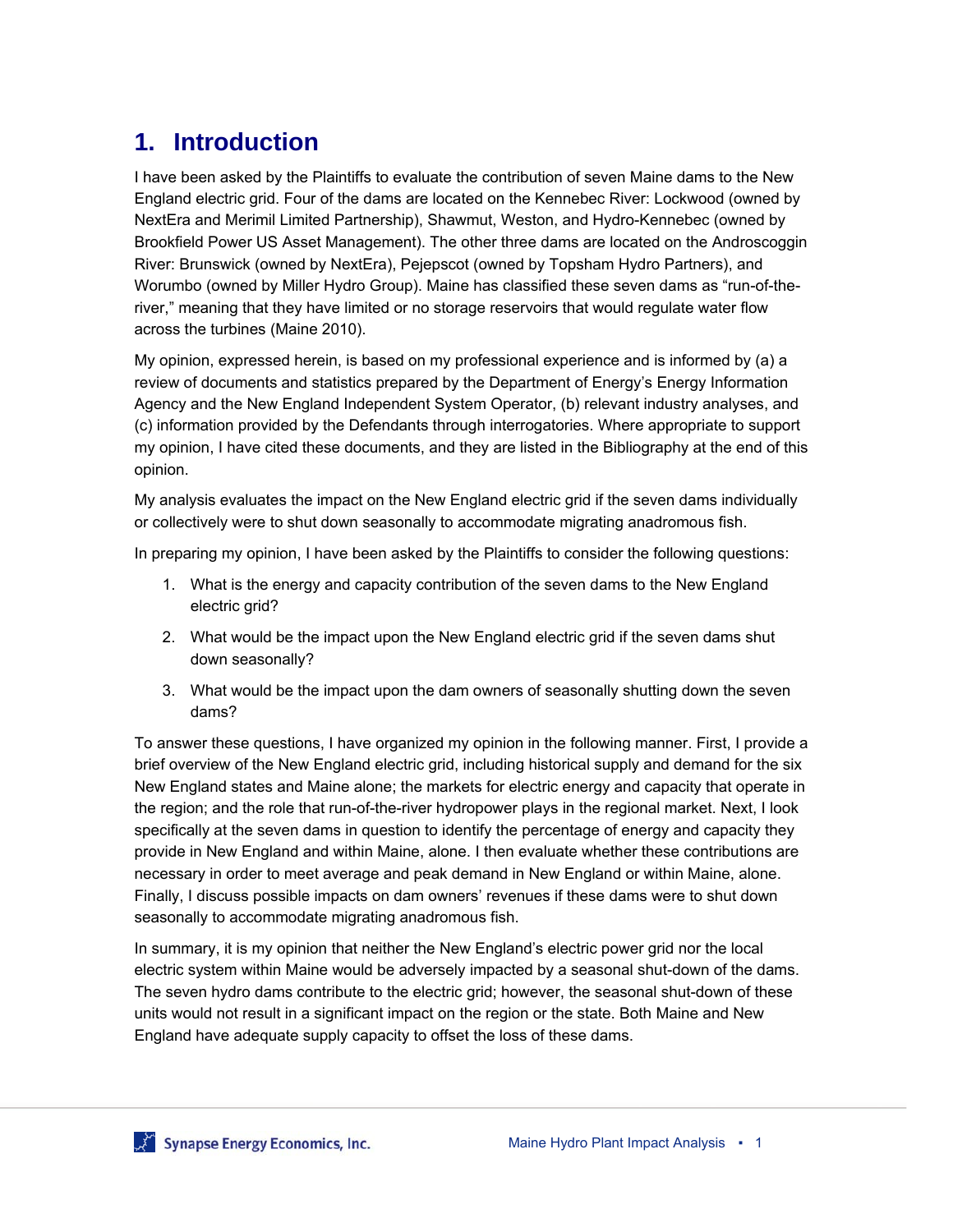## **1. Introduction**

I have been asked by the Plaintiffs to evaluate the contribution of seven Maine dams to the New England electric grid. Four of the dams are located on the Kennebec River: Lockwood (owned by NextEra and Merimil Limited Partnership), Shawmut, Weston, and Hydro-Kennebec (owned by Brookfield Power US Asset Management). The other three dams are located on the Androscoggin River: Brunswick (owned by NextEra), Pejepscot (owned by Topsham Hydro Partners), and Worumbo (owned by Miller Hydro Group). Maine has classified these seven dams as "run-of-theriver," meaning that they have limited or no storage reservoirs that would regulate water flow across the turbines (Maine 2010).

My opinion, expressed herein, is based on my professional experience and is informed by (a) a review of documents and statistics prepared by the Department of Energy's Energy Information Agency and the New England Independent System Operator, (b) relevant industry analyses, and (c) information provided by the Defendants through interrogatories. Where appropriate to support my opinion, I have cited these documents, and they are listed in the Bibliography at the end of this opinion.

My analysis evaluates the impact on the New England electric grid if the seven dams individually or collectively were to shut down seasonally to accommodate migrating anadromous fish.

In preparing my opinion, I have been asked by the Plaintiffs to consider the following questions:

- 1. What is the energy and capacity contribution of the seven dams to the New England electric grid?
- 2. What would be the impact upon the New England electric grid if the seven dams shut down seasonally?
- 3. What would be the impact upon the dam owners of seasonally shutting down the seven dams?

To answer these questions, I have organized my opinion in the following manner. First, I provide a brief overview of the New England electric grid, including historical supply and demand for the six New England states and Maine alone; the markets for electric energy and capacity that operate in the region; and the role that run-of-the-river hydropower plays in the regional market. Next, I look specifically at the seven dams in question to identify the percentage of energy and capacity they provide in New England and within Maine, alone. I then evaluate whether these contributions are necessary in order to meet average and peak demand in New England or within Maine, alone. Finally, I discuss possible impacts on dam owners' revenues if these dams were to shut down seasonally to accommodate migrating anadromous fish.

In summary, it is my opinion that neither the New England's electric power grid nor the local electric system within Maine would be adversely impacted by a seasonal shut-down of the dams. The seven hydro dams contribute to the electric grid; however, the seasonal shut-down of these units would not result in a significant impact on the region or the state. Both Maine and New England have adequate supply capacity to offset the loss of these dams.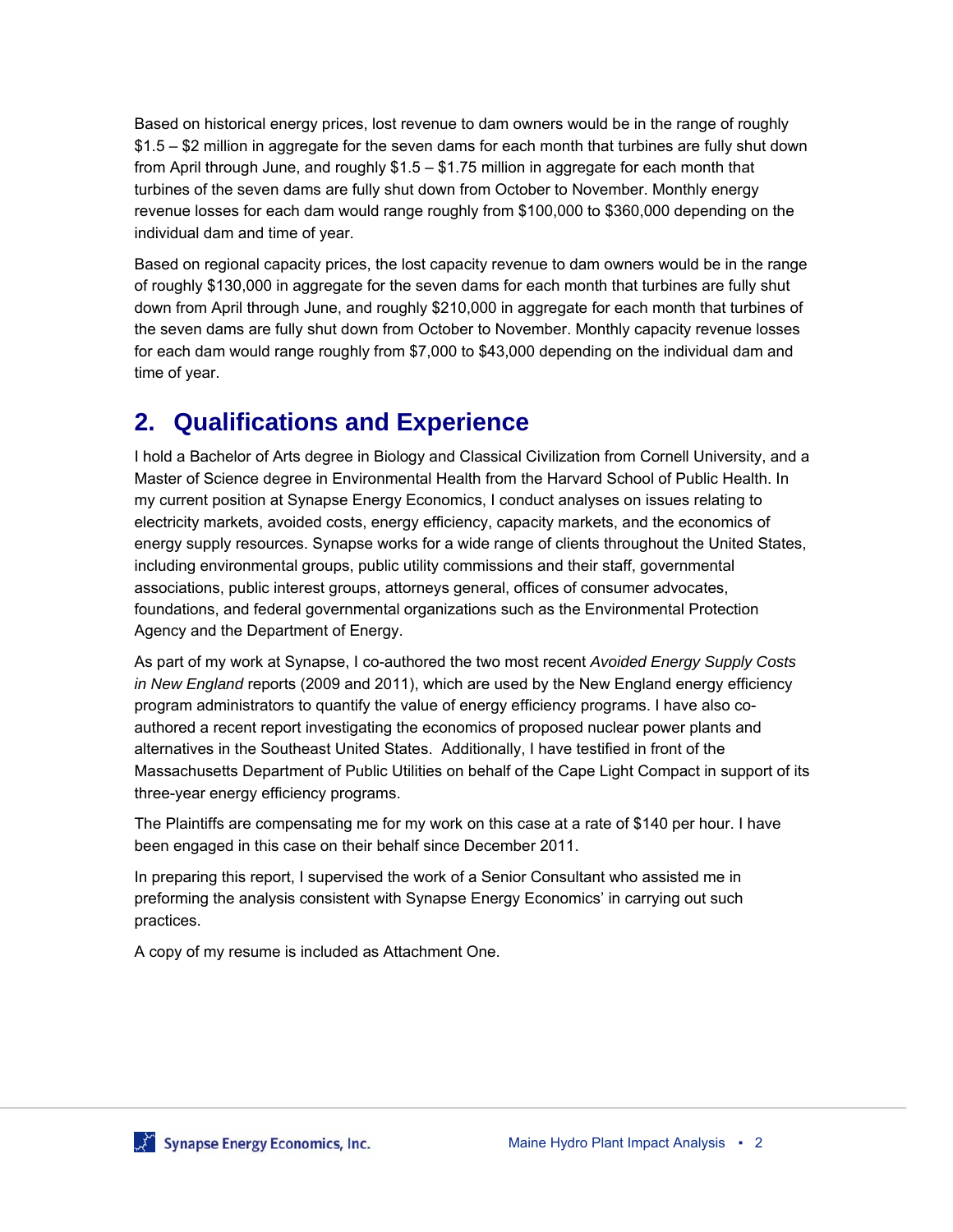Based on historical energy prices, lost revenue to dam owners would be in the range of roughly \$1.5 – \$2 million in aggregate for the seven dams for each month that turbines are fully shut down from April through June, and roughly \$1.5 – \$1.75 million in aggregate for each month that turbines of the seven dams are fully shut down from October to November. Monthly energy revenue losses for each dam would range roughly from \$100,000 to \$360,000 depending on the individual dam and time of year.

Based on regional capacity prices, the lost capacity revenue to dam owners would be in the range of roughly \$130,000 in aggregate for the seven dams for each month that turbines are fully shut down from April through June, and roughly \$210,000 in aggregate for each month that turbines of the seven dams are fully shut down from October to November. Monthly capacity revenue losses for each dam would range roughly from \$7,000 to \$43,000 depending on the individual dam and time of year.

### **2. Qualifications and Experience**

I hold a Bachelor of Arts degree in Biology and Classical Civilization from Cornell University, and a Master of Science degree in Environmental Health from the Harvard School of Public Health. In my current position at Synapse Energy Economics, I conduct analyses on issues relating to electricity markets, avoided costs, energy efficiency, capacity markets, and the economics of energy supply resources. Synapse works for a wide range of clients throughout the United States, including environmental groups, public utility commissions and their staff, governmental associations, public interest groups, attorneys general, offices of consumer advocates, foundations, and federal governmental organizations such as the Environmental Protection Agency and the Department of Energy.

As part of my work at Synapse, I co-authored the two most recent *Avoided Energy Supply Costs in New England* reports (2009 and 2011), which are used by the New England energy efficiency program administrators to quantify the value of energy efficiency programs. I have also coauthored a recent report investigating the economics of proposed nuclear power plants and alternatives in the Southeast United States. Additionally, I have testified in front of the Massachusetts Department of Public Utilities on behalf of the Cape Light Compact in support of its three-year energy efficiency programs.

The Plaintiffs are compensating me for my work on this case at a rate of \$140 per hour. I have been engaged in this case on their behalf since December 2011.

In preparing this report, I supervised the work of a Senior Consultant who assisted me in preforming the analysis consistent with Synapse Energy Economics' in carrying out such practices.

A copy of my resume is included as Attachment One.

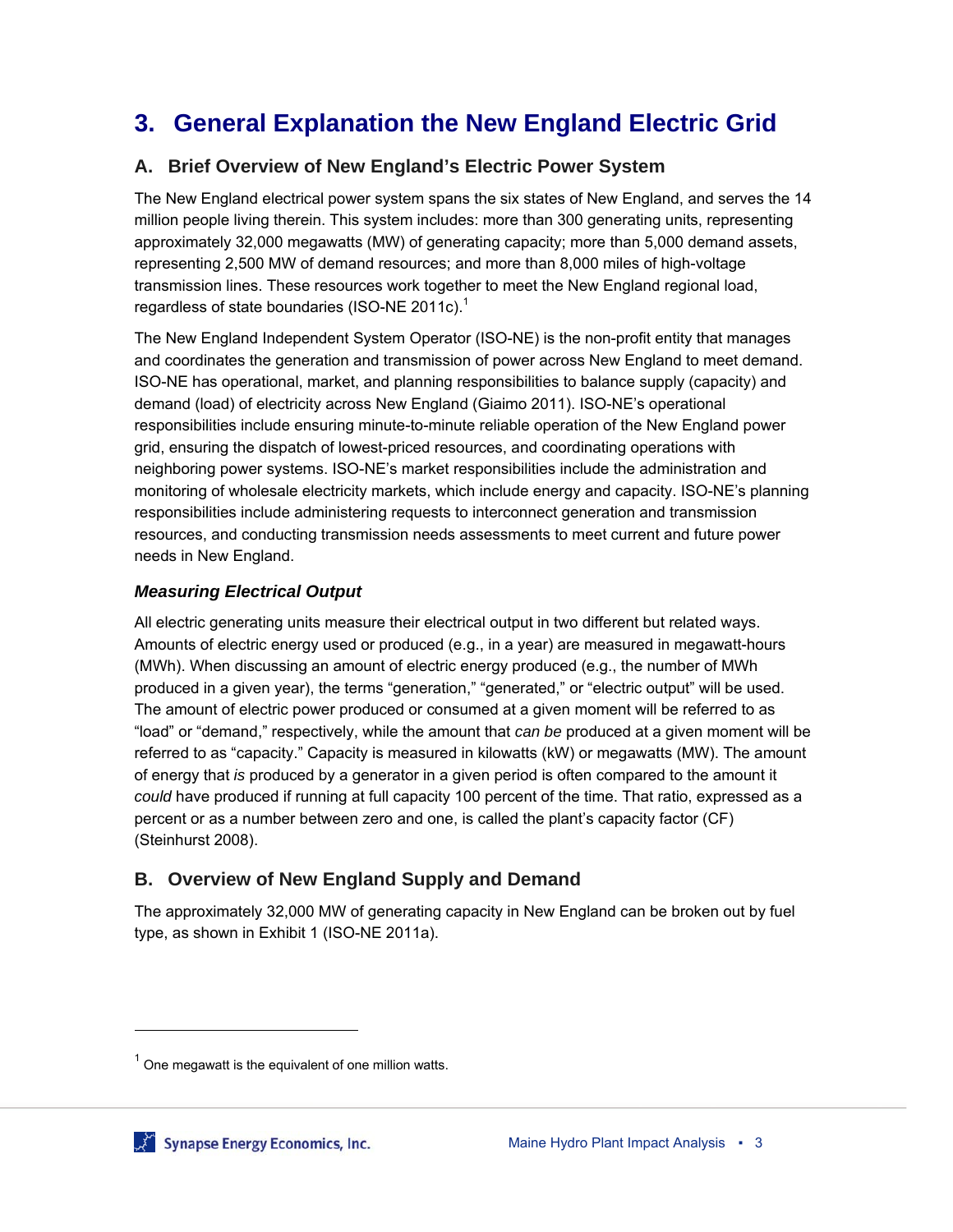# **3. General Explanation the New England Electric Grid**

#### **A. Brief Overview of New England's Electric Power System**

The New England electrical power system spans the six states of New England, and serves the 14 million people living therein. This system includes: more than 300 generating units, representing approximately 32,000 megawatts (MW) of generating capacity; more than 5,000 demand assets, representing 2,500 MW of demand resources; and more than 8,000 miles of high-voltage transmission lines. These resources work together to meet the New England regional load, regardless of state boundaries (ISO-NE 2011c).<sup>1</sup>

The New England Independent System Operator (ISO-NE) is the non-profit entity that manages and coordinates the generation and transmission of power across New England to meet demand. ISO-NE has operational, market, and planning responsibilities to balance supply (capacity) and demand (load) of electricity across New England (Giaimo 2011). ISO-NE's operational responsibilities include ensuring minute-to-minute reliable operation of the New England power grid, ensuring the dispatch of lowest-priced resources, and coordinating operations with neighboring power systems. ISO-NE's market responsibilities include the administration and monitoring of wholesale electricity markets, which include energy and capacity. ISO-NE's planning responsibilities include administering requests to interconnect generation and transmission resources, and conducting transmission needs assessments to meet current and future power needs in New England.

#### *Measuring Electrical Output*

All electric generating units measure their electrical output in two different but related ways. Amounts of electric energy used or produced (e.g., in a year) are measured in megawatt-hours (MWh). When discussing an amount of electric energy produced (e.g., the number of MWh produced in a given year), the terms "generation," "generated," or "electric output" will be used. The amount of electric power produced or consumed at a given moment will be referred to as "load" or "demand," respectively, while the amount that *can be* produced at a given moment will be referred to as "capacity." Capacity is measured in kilowatts (kW) or megawatts (MW). The amount of energy that *is* produced by a generator in a given period is often compared to the amount it *could* have produced if running at full capacity 100 percent of the time. That ratio, expressed as a percent or as a number between zero and one, is called the plant's capacity factor (CF) (Steinhurst 2008).

### **B. Overview of New England Supply and Demand**

The approximately 32,000 MW of generating capacity in New England can be broken out by fuel type, as shown in Exhibit 1 (ISO-NE 2011a).

 $\overline{a}$ 

 $1$  One megawatt is the equivalent of one million watts.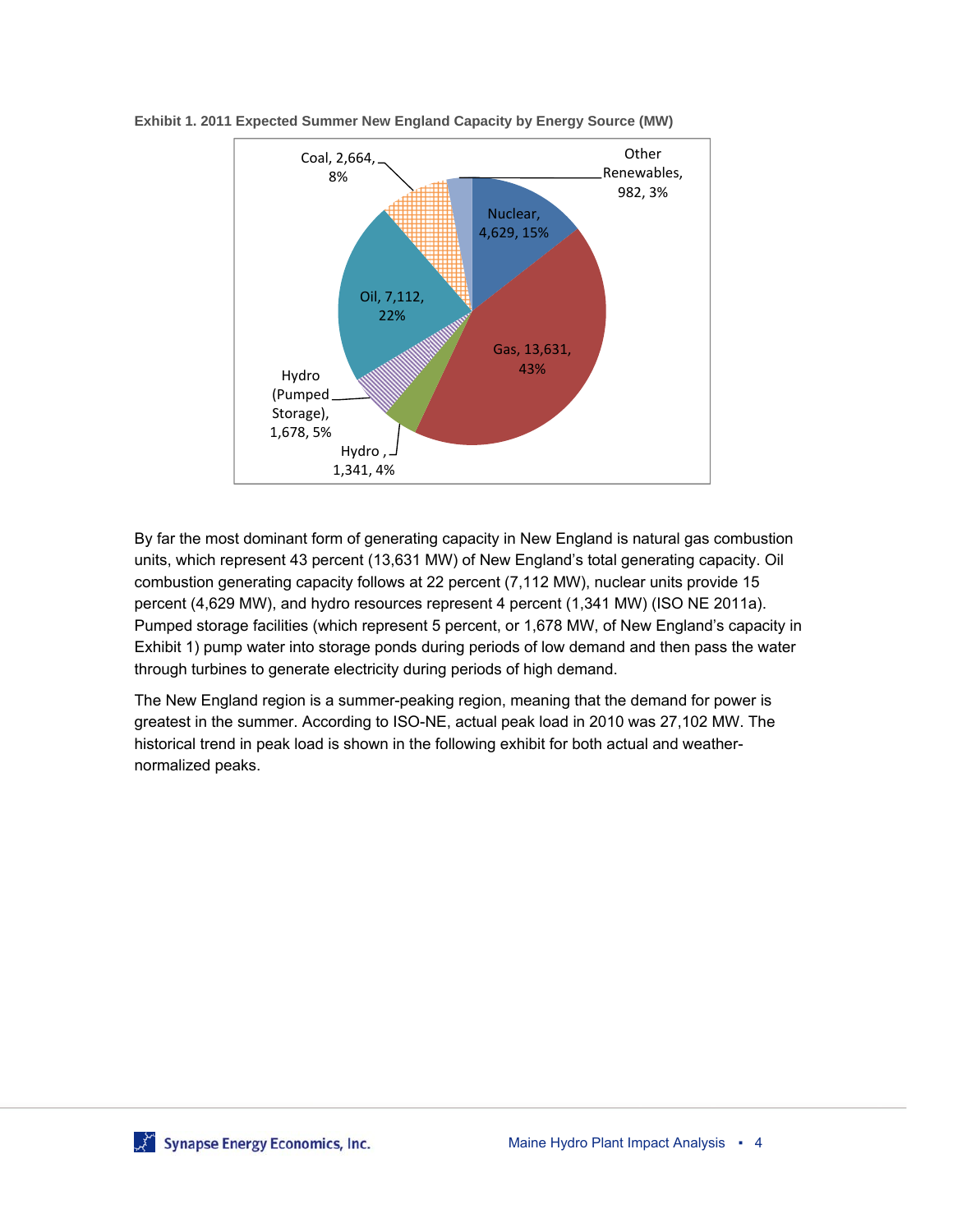

**Exhibit 1. 2011 Expected Summer New England Capacity by Energy Source (MW)** 

By far the most dominant form of generating capacity in New England is natural gas combustion units, which represent 43 percent (13,631 MW) of New England's total generating capacity. Oil combustion generating capacity follows at 22 percent (7,112 MW), nuclear units provide 15 percent (4,629 MW), and hydro resources represent 4 percent (1,341 MW) (ISO NE 2011a). Pumped storage facilities (which represent 5 percent, or 1,678 MW, of New England's capacity in Exhibit 1) pump water into storage ponds during periods of low demand and then pass the water through turbines to generate electricity during periods of high demand.

The New England region is a summer-peaking region, meaning that the demand for power is greatest in the summer. According to ISO-NE, actual peak load in 2010 was 27,102 MW. The historical trend in peak load is shown in the following exhibit for both actual and weathernormalized peaks.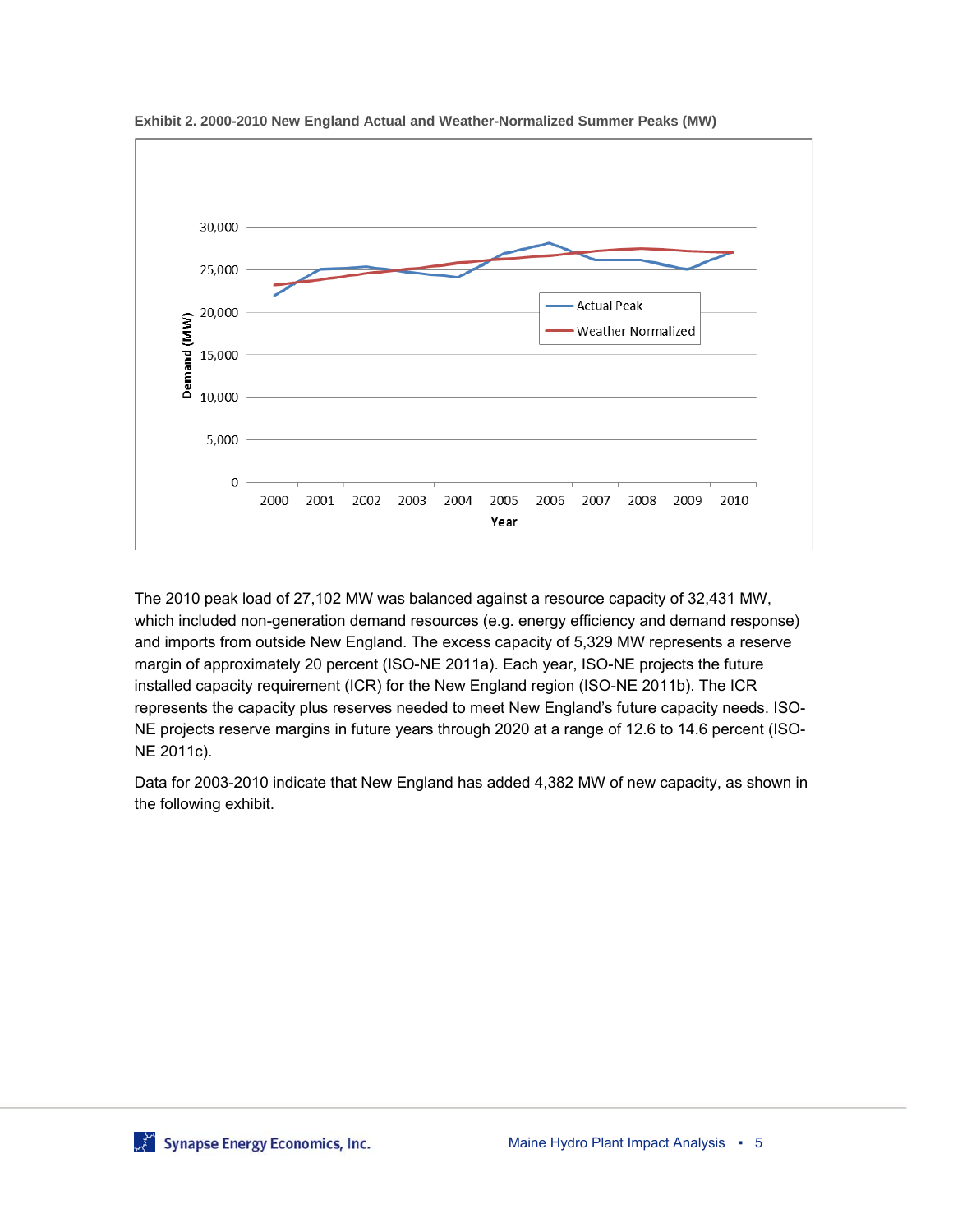

**Exhibit 2. 2000-2010 New England Actual and Weather-Normalized Summer Peaks (MW)** 

The 2010 peak load of 27,102 MW was balanced against a resource capacity of 32,431 MW, which included non-generation demand resources (e.g. energy efficiency and demand response) and imports from outside New England. The excess capacity of 5,329 MW represents a reserve margin of approximately 20 percent (ISO-NE 2011a). Each year, ISO-NE projects the future installed capacity requirement (ICR) for the New England region (ISO-NE 2011b). The ICR represents the capacity plus reserves needed to meet New England's future capacity needs. ISO-NE projects reserve margins in future years through 2020 at a range of 12.6 to 14.6 percent (ISO-NE 2011c).

Data for 2003-2010 indicate that New England has added 4,382 MW of new capacity, as shown in the following exhibit.

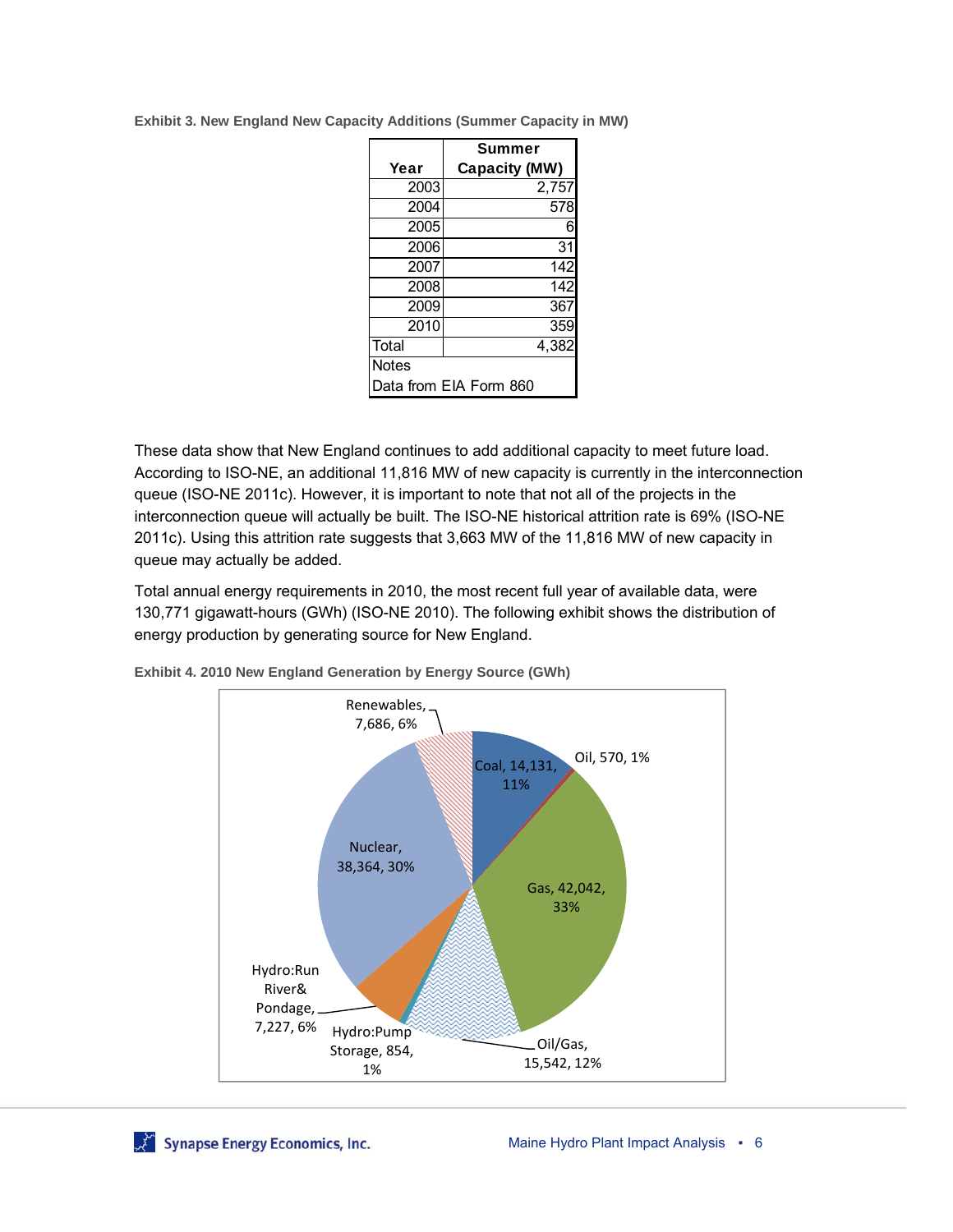|                        | Summer               |  |  |  |
|------------------------|----------------------|--|--|--|
| Year                   | <b>Capacity (MW)</b> |  |  |  |
| 2003                   | 2,757                |  |  |  |
| 2004                   | 578                  |  |  |  |
| 2005                   | 6                    |  |  |  |
| 2006                   | 31                   |  |  |  |
| 2007                   | 142                  |  |  |  |
| 2008                   | 142                  |  |  |  |
| 2009                   | 367                  |  |  |  |
| $\overline{20}10$      | 359                  |  |  |  |
| Total                  | 4,382                |  |  |  |
| <b>Notes</b>           |                      |  |  |  |
| Data from EIA Form 860 |                      |  |  |  |

**Exhibit 3. New England New Capacity Additions (Summer Capacity in MW)** 

These data show that New England continues to add additional capacity to meet future load. According to ISO-NE, an additional 11,816 MW of new capacity is currently in the interconnection queue (ISO-NE 2011c). However, it is important to note that not all of the projects in the interconnection queue will actually be built. The ISO-NE historical attrition rate is 69% (ISO-NE 2011c). Using this attrition rate suggests that 3,663 MW of the 11,816 MW of new capacity in queue may actually be added.

Total annual energy requirements in 2010, the most recent full year of available data, were 130,771 gigawatt-hours (GWh) (ISO-NE 2010). The following exhibit shows the distribution of energy production by generating source for New England.



**Exhibit 4. 2010 New England Generation by Energy Source (GWh)**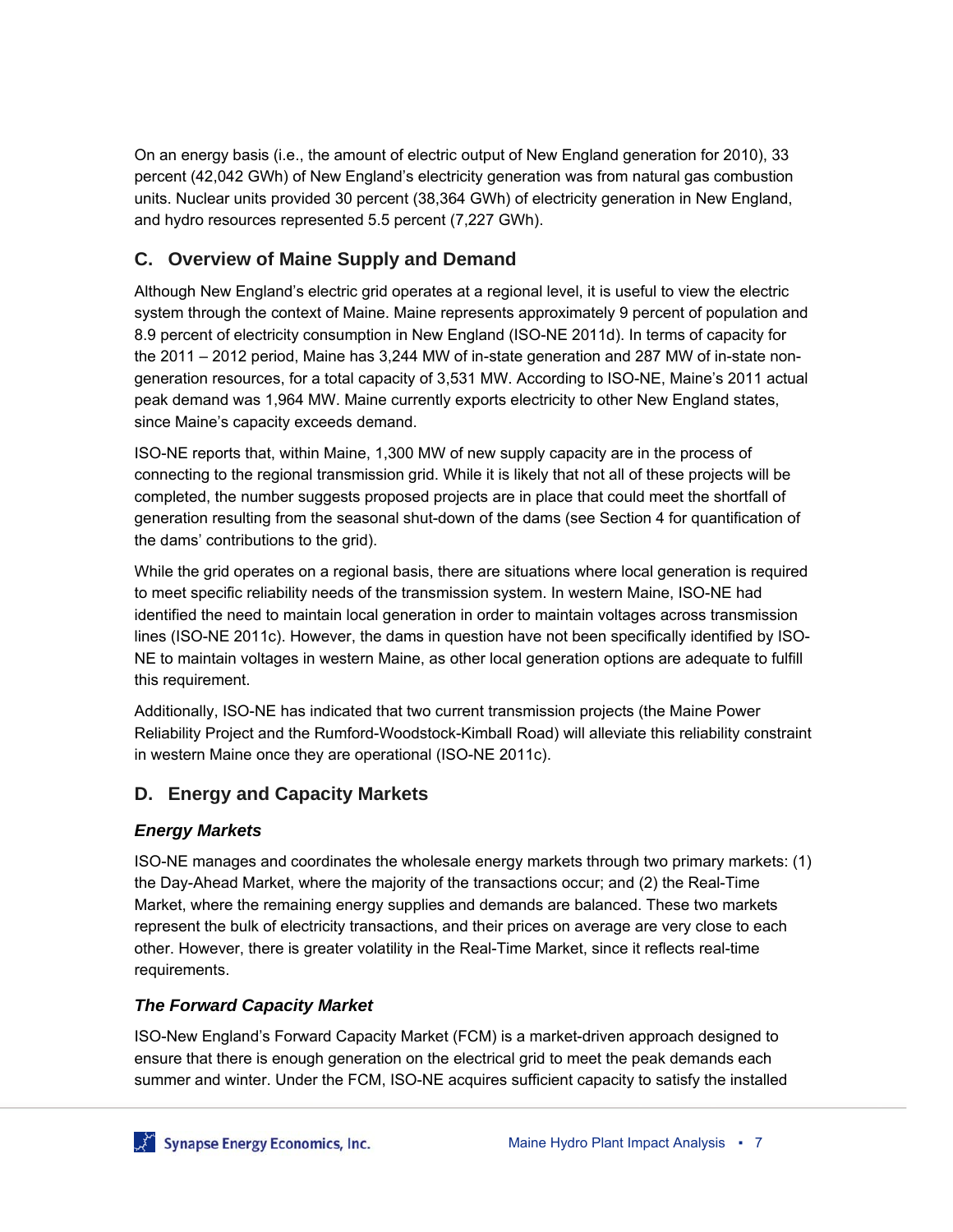On an energy basis (i.e., the amount of electric output of New England generation for 2010), 33 percent (42,042 GWh) of New England's electricity generation was from natural gas combustion units. Nuclear units provided 30 percent (38,364 GWh) of electricity generation in New England, and hydro resources represented 5.5 percent (7,227 GWh).

### **C. Overview of Maine Supply and Demand**

Although New England's electric grid operates at a regional level, it is useful to view the electric system through the context of Maine. Maine represents approximately 9 percent of population and 8.9 percent of electricity consumption in New England (ISO-NE 2011d). In terms of capacity for the 2011 – 2012 period, Maine has 3,244 MW of in-state generation and 287 MW of in-state nongeneration resources, for a total capacity of 3,531 MW. According to ISO-NE, Maine's 2011 actual peak demand was 1,964 MW. Maine currently exports electricity to other New England states, since Maine's capacity exceeds demand.

ISO-NE reports that, within Maine, 1,300 MW of new supply capacity are in the process of connecting to the regional transmission grid. While it is likely that not all of these projects will be completed, the number suggests proposed projects are in place that could meet the shortfall of generation resulting from the seasonal shut-down of the dams (see Section 4 for quantification of the dams' contributions to the grid).

While the grid operates on a regional basis, there are situations where local generation is required to meet specific reliability needs of the transmission system. In western Maine, ISO-NE had identified the need to maintain local generation in order to maintain voltages across transmission lines (ISO-NE 2011c). However, the dams in question have not been specifically identified by ISO-NE to maintain voltages in western Maine, as other local generation options are adequate to fulfill this requirement.

Additionally, ISO-NE has indicated that two current transmission projects (the Maine Power Reliability Project and the Rumford-Woodstock-Kimball Road) will alleviate this reliability constraint in western Maine once they are operational (ISO-NE 2011c).

#### **D. Energy and Capacity Markets**

#### *Energy Markets*

ISO-NE manages and coordinates the wholesale energy markets through two primary markets: (1) the Day-Ahead Market, where the majority of the transactions occur; and (2) the Real-Time Market, where the remaining energy supplies and demands are balanced. These two markets represent the bulk of electricity transactions, and their prices on average are very close to each other. However, there is greater volatility in the Real-Time Market, since it reflects real-time requirements.

#### *The Forward Capacity Market*

ISO-New England's Forward Capacity Market (FCM) is a market-driven approach designed to ensure that there is enough generation on the electrical grid to meet the peak demands each summer and winter. Under the FCM, ISO-NE acquires sufficient capacity to satisfy the installed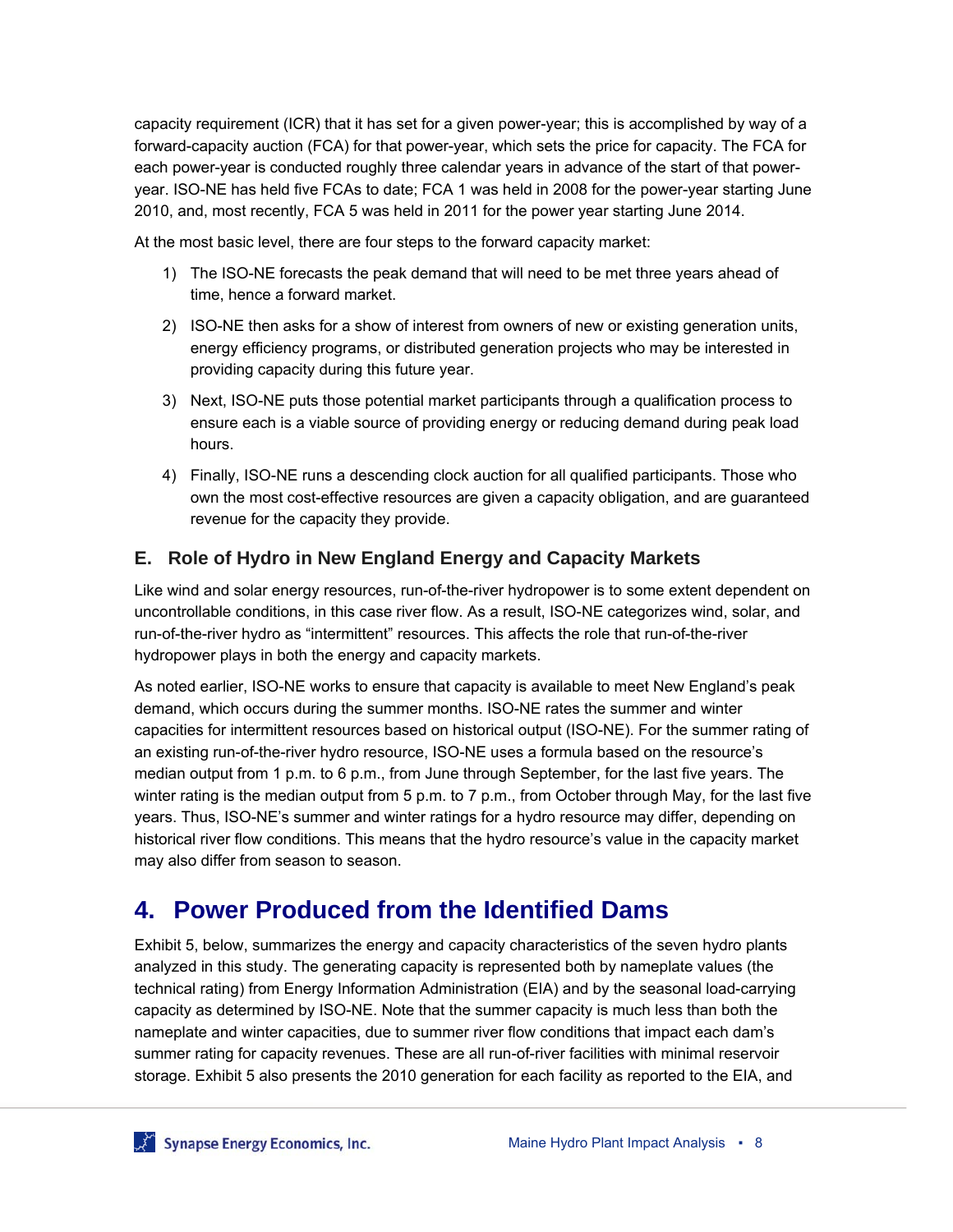capacity requirement (ICR) that it has set for a given power-year; this is accomplished by way of a forward-capacity auction (FCA) for that power-year, which sets the price for capacity. The FCA for each power-year is conducted roughly three calendar years in advance of the start of that poweryear. ISO-NE has held five FCAs to date; FCA 1 was held in 2008 for the power-year starting June 2010, and, most recently, FCA 5 was held in 2011 for the power year starting June 2014.

At the most basic level, there are four steps to the forward capacity market:

- 1) The ISO-NE forecasts the peak demand that will need to be met three years ahead of time, hence a forward market.
- 2) ISO-NE then asks for a show of interest from owners of new or existing generation units, energy efficiency programs, or distributed generation projects who may be interested in providing capacity during this future year.
- 3) Next, ISO-NE puts those potential market participants through a qualification process to ensure each is a viable source of providing energy or reducing demand during peak load hours.
- 4) Finally, ISO-NE runs a descending clock auction for all qualified participants. Those who own the most cost-effective resources are given a capacity obligation, and are guaranteed revenue for the capacity they provide.

#### **E. Role of Hydro in New England Energy and Capacity Markets**

Like wind and solar energy resources, run-of-the-river hydropower is to some extent dependent on uncontrollable conditions, in this case river flow. As a result, ISO-NE categorizes wind, solar, and run-of-the-river hydro as "intermittent" resources. This affects the role that run-of-the-river hydropower plays in both the energy and capacity markets.

As noted earlier, ISO-NE works to ensure that capacity is available to meet New England's peak demand, which occurs during the summer months. ISO-NE rates the summer and winter capacities for intermittent resources based on historical output (ISO-NE). For the summer rating of an existing run-of-the-river hydro resource, ISO-NE uses a formula based on the resource's median output from 1 p.m. to 6 p.m., from June through September, for the last five years. The winter rating is the median output from 5 p.m. to 7 p.m., from October through May, for the last five years. Thus, ISO-NE's summer and winter ratings for a hydro resource may differ, depending on historical river flow conditions. This means that the hydro resource's value in the capacity market may also differ from season to season.

### **4. Power Produced from the Identified Dams**

Exhibit 5, below, summarizes the energy and capacity characteristics of the seven hydro plants analyzed in this study. The generating capacity is represented both by nameplate values (the technical rating) from Energy Information Administration (EIA) and by the seasonal load-carrying capacity as determined by ISO-NE. Note that the summer capacity is much less than both the nameplate and winter capacities, due to summer river flow conditions that impact each dam's summer rating for capacity revenues. These are all run-of-river facilities with minimal reservoir storage. Exhibit 5 also presents the 2010 generation for each facility as reported to the EIA, and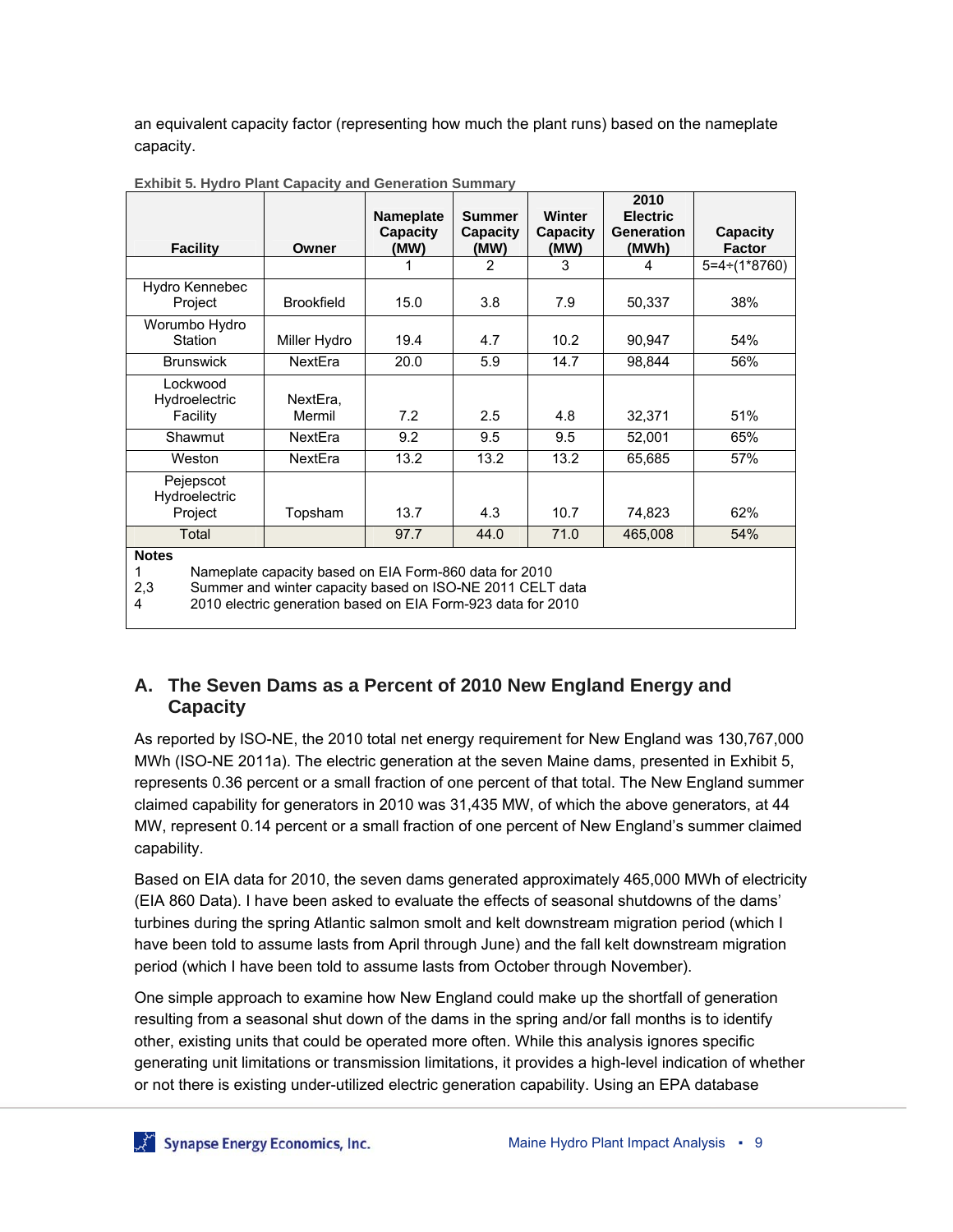an equivalent capacity factor (representing how much the plant runs) based on the nameplate capacity.

|                                                                                                                                                                                                                 |                    | <b>Nameplate</b> | <b>Summer</b>    | <b>Winter</b>    | 2010<br><b>Electric</b>    |                                  |
|-----------------------------------------------------------------------------------------------------------------------------------------------------------------------------------------------------------------|--------------------|------------------|------------------|------------------|----------------------------|----------------------------------|
| <b>Facility</b>                                                                                                                                                                                                 | Owner              | Capacity<br>(MW) | Capacity<br>(MW) | Capacity<br>(MW) | <b>Generation</b><br>(MWh) | <b>Capacity</b><br><b>Factor</b> |
|                                                                                                                                                                                                                 |                    |                  | 2                | 3                | 4                          | $5=4 \div (1*8760)$              |
| Hydro Kennebec<br>Project                                                                                                                                                                                       | <b>Brookfield</b>  | 15.0             | 3.8              | 7.9              | 50,337                     | 38%                              |
| Worumbo Hydro<br>Station                                                                                                                                                                                        | Miller Hydro       | 19.4             | 4.7              | 10.2             | 90,947                     | 54%                              |
| <b>Brunswick</b>                                                                                                                                                                                                | NextEra            | 20.0             | 5.9              | 14.7             | 98,844                     | 56%                              |
| Lockwood<br>Hydroelectric<br>Facility                                                                                                                                                                           | NextEra,<br>Mermil | 7.2              | 2.5              | 4.8              | 32,371                     | 51%                              |
| Shawmut                                                                                                                                                                                                         | NextEra            | 9.2              | 9.5              | 9.5              | 52,001                     | 65%                              |
| Weston                                                                                                                                                                                                          | NextEra            | 13.2             | 13.2             | 13.2             | 65,685                     | 57%                              |
| Pejepscot<br>Hydroelectric<br>Project                                                                                                                                                                           | Topsham            | 13.7             | 4.3              | 10.7             | 74,823                     | 62%                              |
| Total                                                                                                                                                                                                           |                    | 97.7             | 44.0             | 71.0             | 465,008                    | 54%                              |
| <b>Notes</b><br>Nameplate capacity based on EIA Form-860 data for 2010<br>Summer and winter capacity based on ISO-NE 2011 CELT data<br>2,3<br>2010 electric generation based on EIA Form-923 data for 2010<br>4 |                    |                  |                  |                  |                            |                                  |

**Exhibit 5. Hydro Plant Capacity and Generation Summary** 

#### **A. The Seven Dams as a Percent of 2010 New England Energy and Capacity**

As reported by ISO-NE, the 2010 total net energy requirement for New England was 130,767,000 MWh (ISO-NE 2011a). The electric generation at the seven Maine dams, presented in Exhibit 5, represents 0.36 percent or a small fraction of one percent of that total. The New England summer claimed capability for generators in 2010 was 31,435 MW, of which the above generators, at 44 MW, represent 0.14 percent or a small fraction of one percent of New England's summer claimed capability.

Based on EIA data for 2010, the seven dams generated approximately 465,000 MWh of electricity (EIA 860 Data). I have been asked to evaluate the effects of seasonal shutdowns of the dams' turbines during the spring Atlantic salmon smolt and kelt downstream migration period (which I have been told to assume lasts from April through June) and the fall kelt downstream migration period (which I have been told to assume lasts from October through November).

One simple approach to examine how New England could make up the shortfall of generation resulting from a seasonal shut down of the dams in the spring and/or fall months is to identify other, existing units that could be operated more often. While this analysis ignores specific generating unit limitations or transmission limitations, it provides a high-level indication of whether or not there is existing under-utilized electric generation capability. Using an EPA database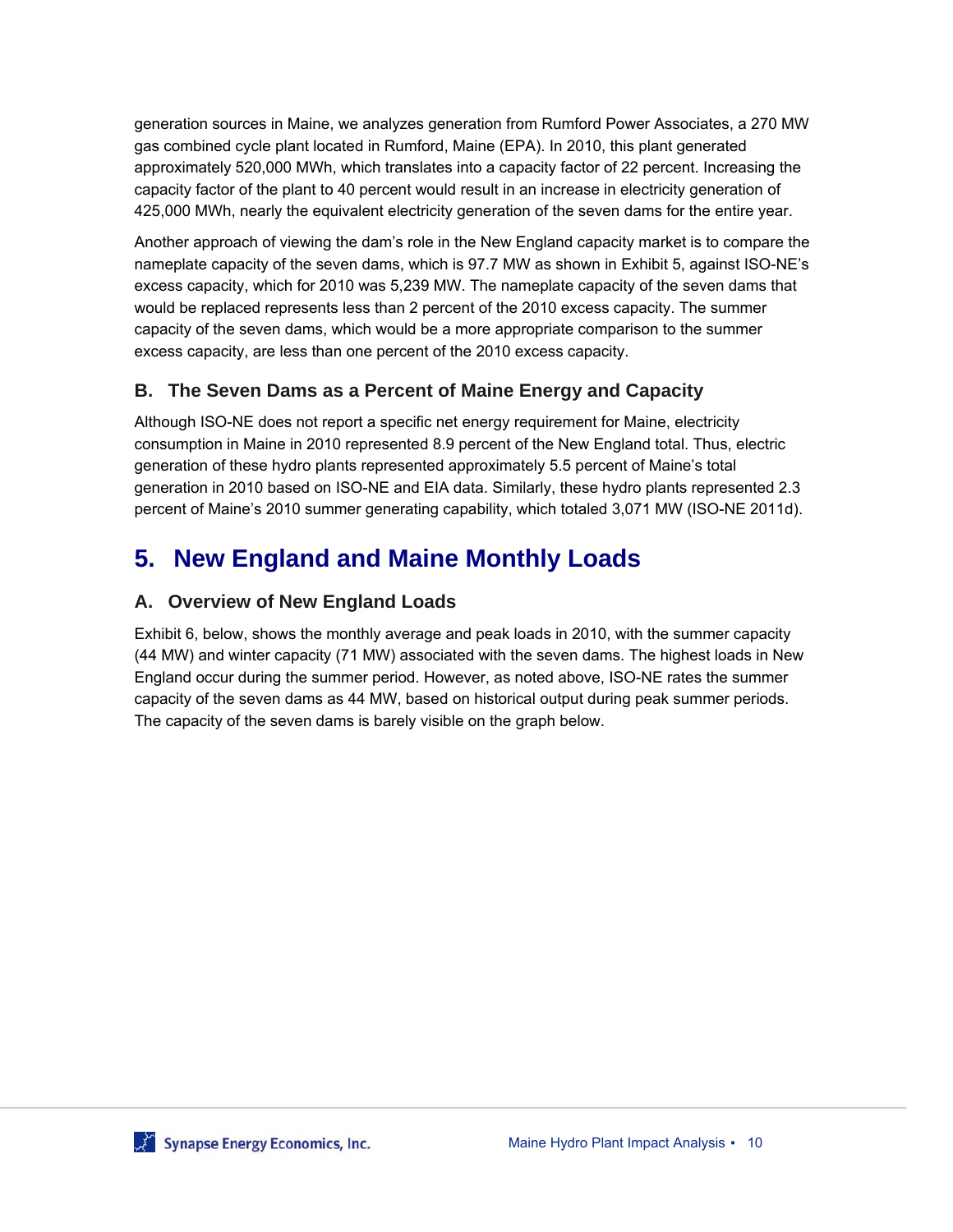generation sources in Maine, we analyzes generation from Rumford Power Associates, a 270 MW gas combined cycle plant located in Rumford, Maine (EPA). In 2010, this plant generated approximately 520,000 MWh, which translates into a capacity factor of 22 percent. Increasing the capacity factor of the plant to 40 percent would result in an increase in electricity generation of 425,000 MWh, nearly the equivalent electricity generation of the seven dams for the entire year.

Another approach of viewing the dam's role in the New England capacity market is to compare the nameplate capacity of the seven dams, which is 97.7 MW as shown in Exhibit 5, against ISO-NE's excess capacity, which for 2010 was 5,239 MW. The nameplate capacity of the seven dams that would be replaced represents less than 2 percent of the 2010 excess capacity. The summer capacity of the seven dams, which would be a more appropriate comparison to the summer excess capacity, are less than one percent of the 2010 excess capacity.

#### **B. The Seven Dams as a Percent of Maine Energy and Capacity**

Although ISO-NE does not report a specific net energy requirement for Maine, electricity consumption in Maine in 2010 represented 8.9 percent of the New England total. Thus, electric generation of these hydro plants represented approximately 5.5 percent of Maine's total generation in 2010 based on ISO-NE and EIA data. Similarly, these hydro plants represented 2.3 percent of Maine's 2010 summer generating capability, which totaled 3,071 MW (ISO-NE 2011d).

# **5. New England and Maine Monthly Loads**

#### **A. Overview of New England Loads**

Exhibit 6, below, shows the monthly average and peak loads in 2010, with the summer capacity (44 MW) and winter capacity (71 MW) associated with the seven dams. The highest loads in New England occur during the summer period. However, as noted above, ISO-NE rates the summer capacity of the seven dams as 44 MW, based on historical output during peak summer periods. The capacity of the seven dams is barely visible on the graph below.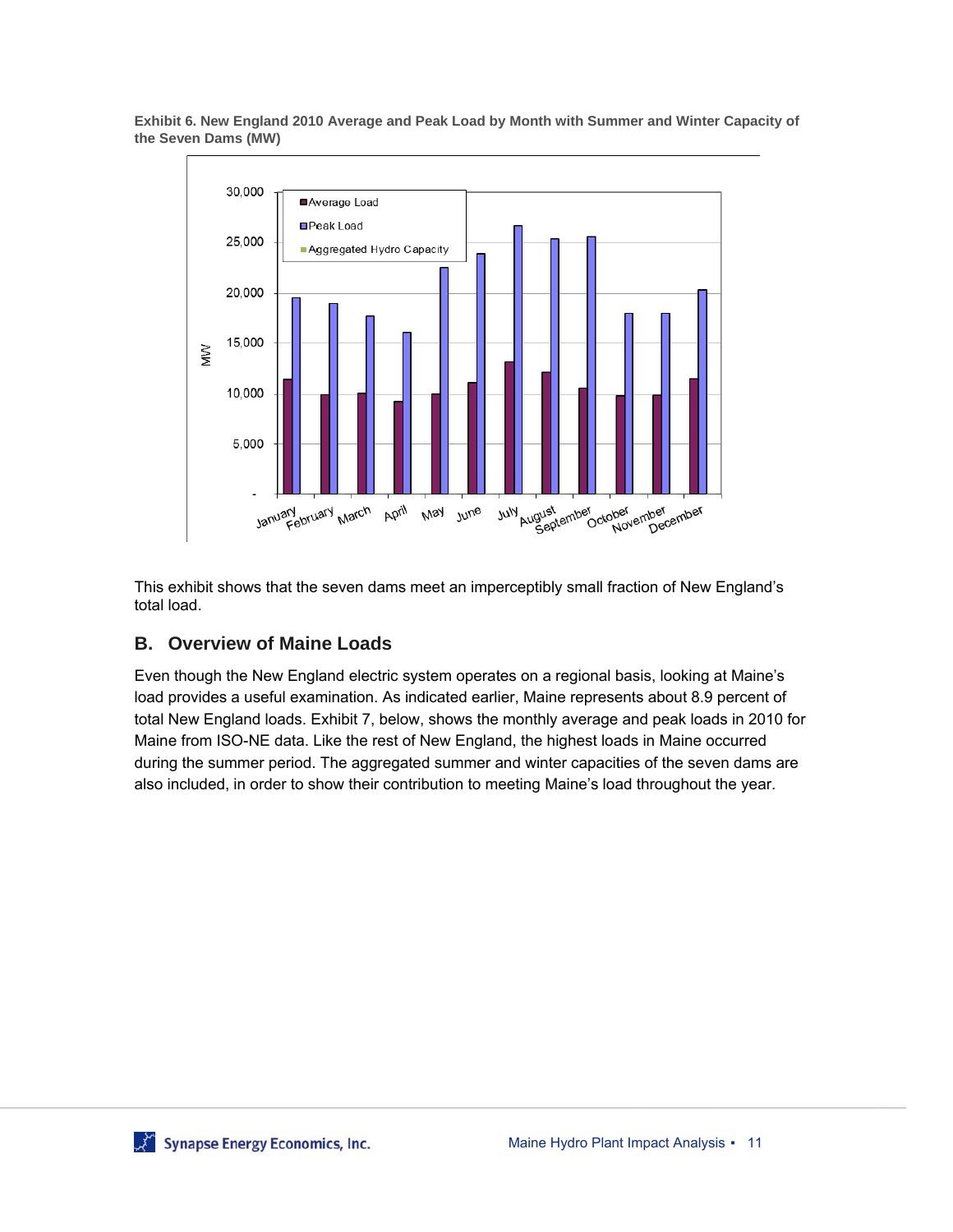

**Exhibit 6. New England 2010 Average and Peak Load by Month with Summer and Winter Capacity of the Seven Dams (MW)** 

This exhibit shows that the seven dams meet an imperceptibly small fraction of New England's total load.

#### **B. Overview of Maine Loads**

Even though the New England electric system operates on a regional basis, looking at Maine's load provides a useful examination. As indicated earlier, Maine represents about 8.9 percent of total New England loads. Exhibit 7, below, shows the monthly average and peak loads in 2010 for Maine from ISO-NE data. Like the rest of New England, the highest loads in Maine occurred during the summer period. The aggregated summer and winter capacities of the seven dams are also included, in order to show their contribution to meeting Maine's load throughout the year.

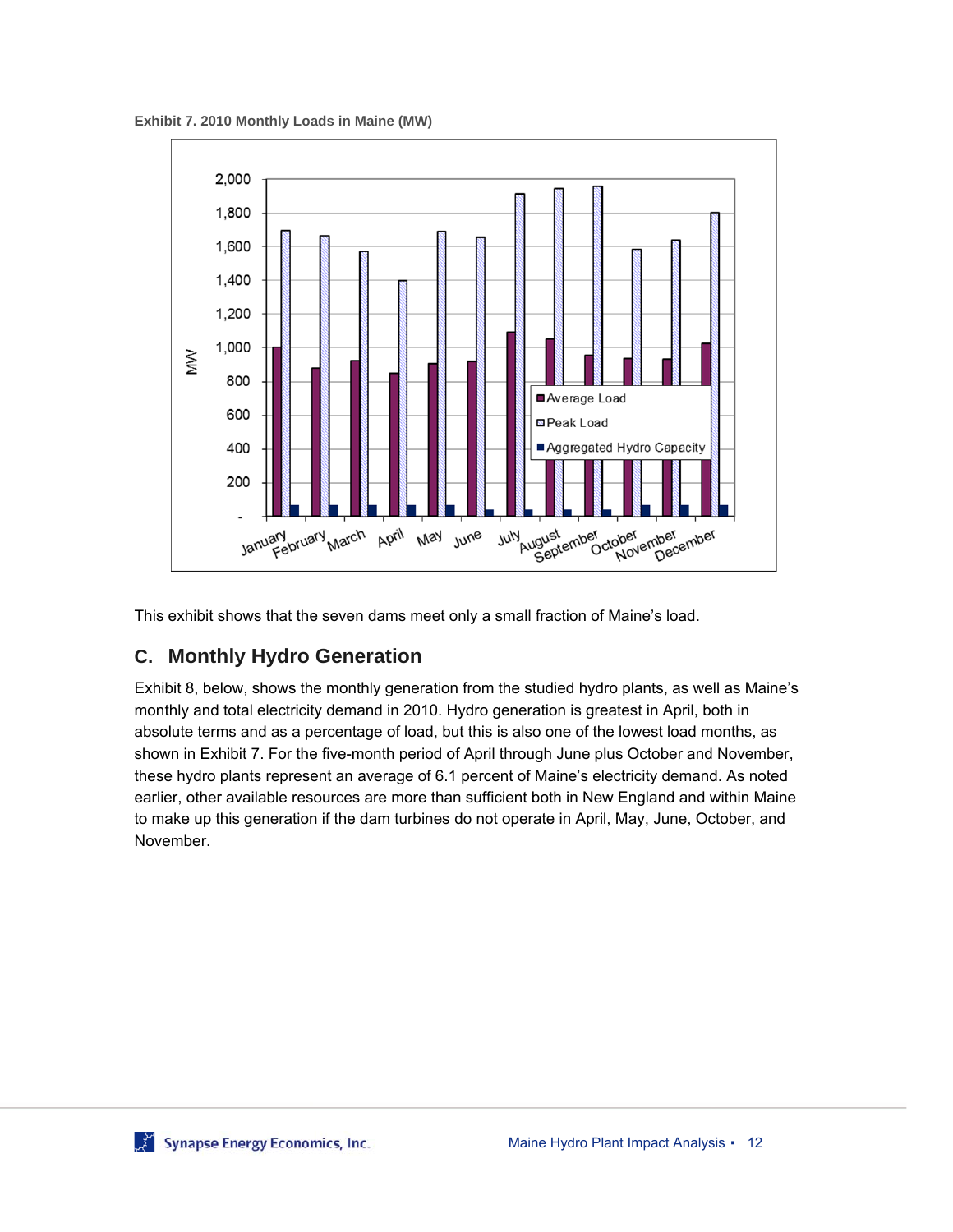**Exhibit 7. 2010 Monthly Loads in Maine (MW)** 



This exhibit shows that the seven dams meet only a small fraction of Maine's load.

### **C. Monthly Hydro Generation**

Exhibit 8, below, shows the monthly generation from the studied hydro plants, as well as Maine's monthly and total electricity demand in 2010. Hydro generation is greatest in April, both in absolute terms and as a percentage of load, but this is also one of the lowest load months, as shown in Exhibit 7. For the five-month period of April through June plus October and November, these hydro plants represent an average of 6.1 percent of Maine's electricity demand. As noted earlier, other available resources are more than sufficient both in New England and within Maine to make up this generation if the dam turbines do not operate in April, May, June, October, and November.

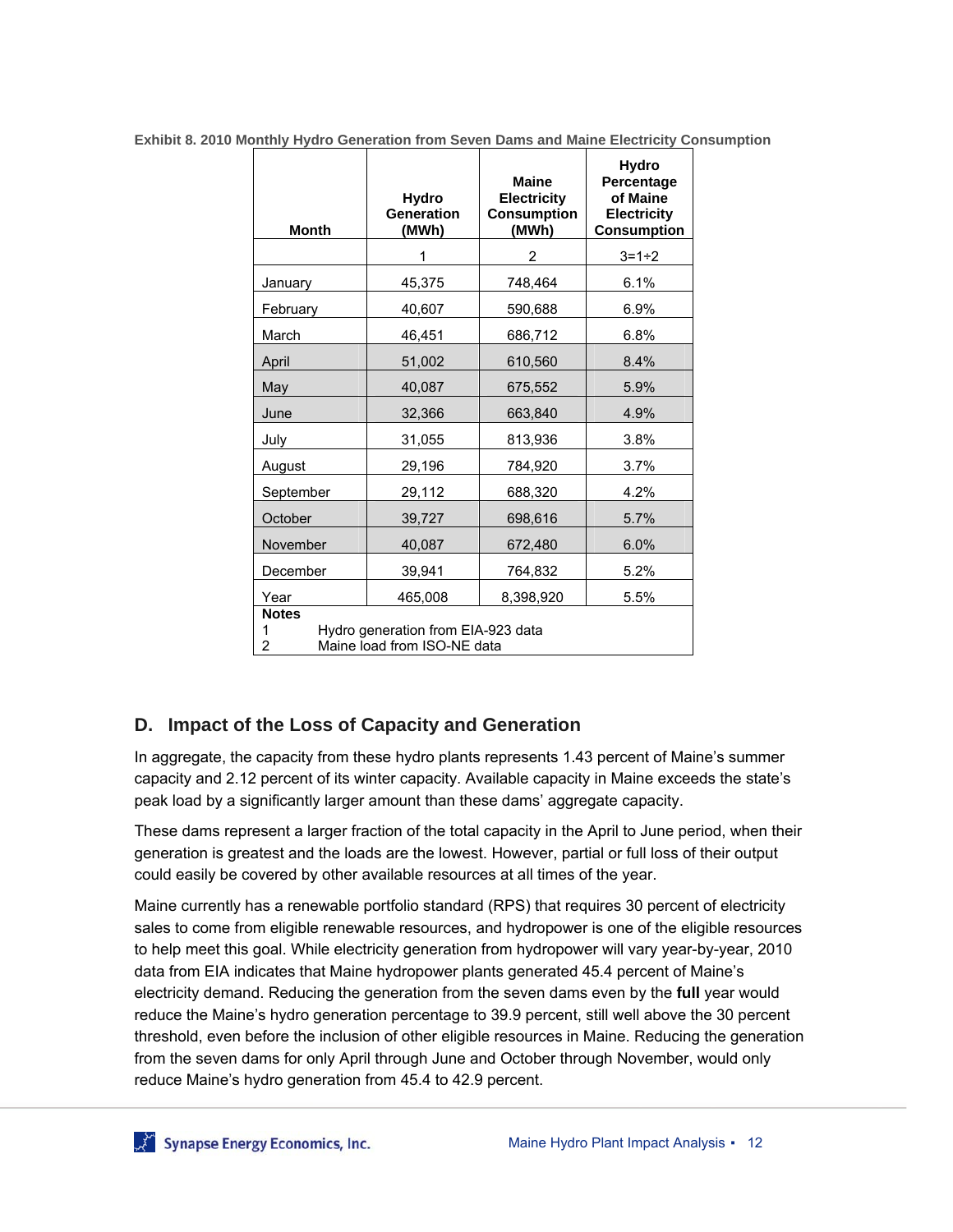| <b>Month</b>                                                           | <b>Hydro</b><br>Generation<br>(MWh) | <b>Maine</b><br><b>Electricity</b><br><b>Consumption</b><br>(MWh) | <b>Hydro</b><br>Percentage<br>of Maine<br><b>Electricity</b><br><b>Consumption</b> |  |  |
|------------------------------------------------------------------------|-------------------------------------|-------------------------------------------------------------------|------------------------------------------------------------------------------------|--|--|
|                                                                        |                                     | $\overline{2}$                                                    | $3 = 1 - 2$                                                                        |  |  |
| January                                                                | 45,375                              | 748,464                                                           | 6.1%                                                                               |  |  |
| February                                                               | 40,607                              | 590,688                                                           | 6.9%                                                                               |  |  |
| March                                                                  | 46,451                              | 686,712                                                           | 6.8%                                                                               |  |  |
| April                                                                  | 51,002                              | 610,560                                                           | 8.4%                                                                               |  |  |
| May                                                                    | 40,087                              | 675,552                                                           | 5.9%                                                                               |  |  |
| June                                                                   | 32,366                              | 663,840                                                           | 4.9%                                                                               |  |  |
| July                                                                   | 31,055                              | 813,936                                                           | 3.8%                                                                               |  |  |
| August                                                                 | 29,196                              | 784,920                                                           | 3.7%                                                                               |  |  |
| September                                                              | 29,112                              | 688,320                                                           | 4.2%                                                                               |  |  |
| October                                                                | 39,727                              | 698,616                                                           | 5.7%                                                                               |  |  |
| November                                                               | 40,087                              | 672,480                                                           | 6.0%                                                                               |  |  |
| December                                                               | 39,941                              | 764,832                                                           | 5.2%                                                                               |  |  |
| Year                                                                   | 465,008                             | 8,398,920                                                         | 5.5%                                                                               |  |  |
| <b>Notes</b>                                                           |                                     |                                                                   |                                                                                    |  |  |
| Hydro generation from EIA-923 data<br>Maine load from ISO-NE data<br>2 |                                     |                                                                   |                                                                                    |  |  |

**Exhibit 8. 2010 Monthly Hydro Generation from Seven Dams and Maine Electricity Consumption** 

#### **D. Impact of the Loss of Capacity and Generation**

In aggregate, the capacity from these hydro plants represents 1.43 percent of Maine's summer capacity and 2.12 percent of its winter capacity. Available capacity in Maine exceeds the state's peak load by a significantly larger amount than these dams' aggregate capacity.

These dams represent a larger fraction of the total capacity in the April to June period, when their generation is greatest and the loads are the lowest. However, partial or full loss of their output could easily be covered by other available resources at all times of the year.

Maine currently has a renewable portfolio standard (RPS) that requires 30 percent of electricity sales to come from eligible renewable resources, and hydropower is one of the eligible resources to help meet this goal. While electricity generation from hydropower will vary year-by-year, 2010 data from EIA indicates that Maine hydropower plants generated 45.4 percent of Maine's electricity demand. Reducing the generation from the seven dams even by the **full** year would reduce the Maine's hydro generation percentage to 39.9 percent, still well above the 30 percent threshold, even before the inclusion of other eligible resources in Maine. Reducing the generation from the seven dams for only April through June and October through November, would only reduce Maine's hydro generation from 45.4 to 42.9 percent.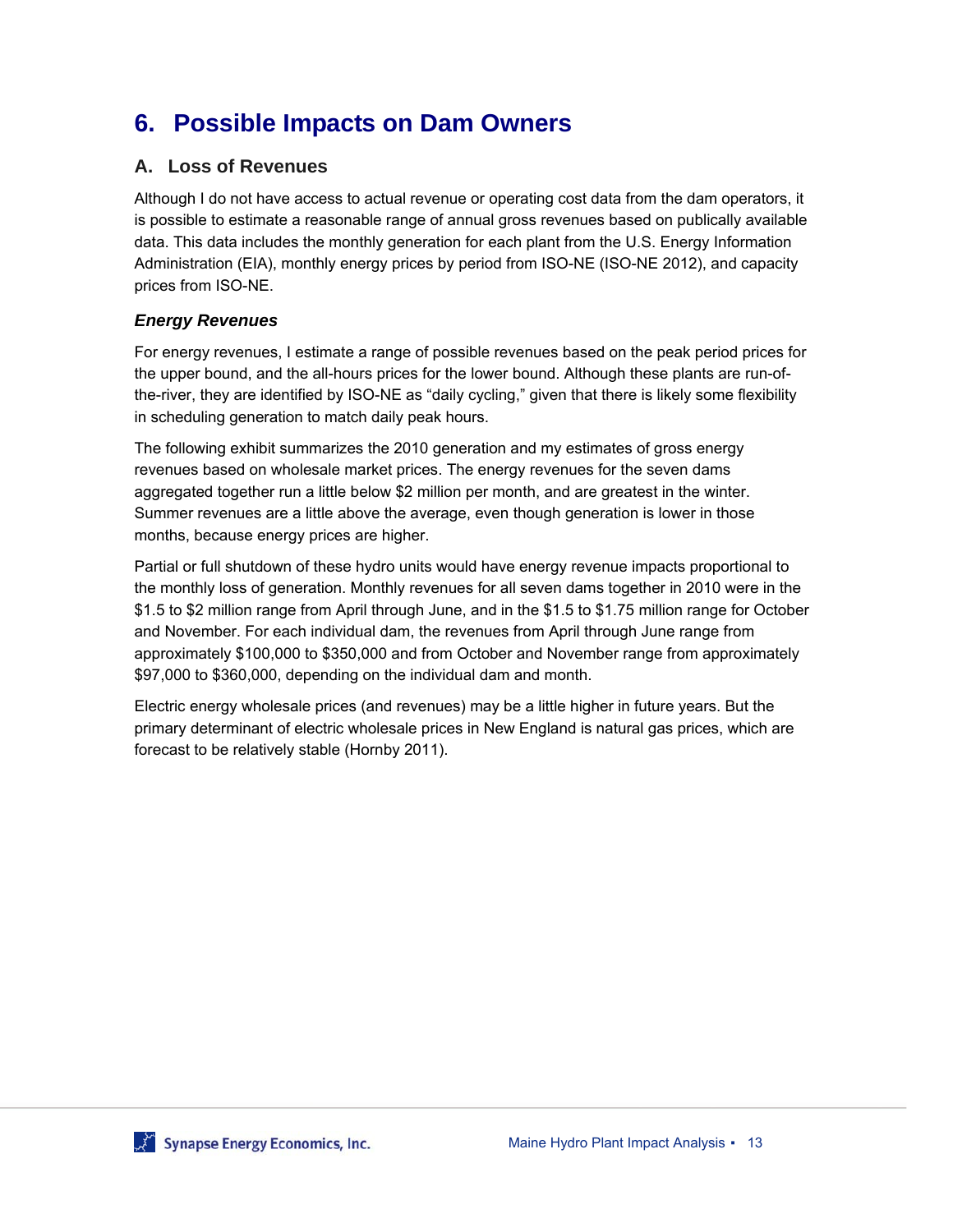# **6. Possible Impacts on Dam Owners**

#### **A. Loss of Revenues**

Although I do not have access to actual revenue or operating cost data from the dam operators, it is possible to estimate a reasonable range of annual gross revenues based on publically available data. This data includes the monthly generation for each plant from the U.S. Energy Information Administration (EIA), monthly energy prices by period from ISO-NE (ISO-NE 2012), and capacity prices from ISO-NE.

#### *Energy Revenues*

For energy revenues, I estimate a range of possible revenues based on the peak period prices for the upper bound, and the all-hours prices for the lower bound. Although these plants are run-ofthe-river, they are identified by ISO-NE as "daily cycling," given that there is likely some flexibility in scheduling generation to match daily peak hours.

The following exhibit summarizes the 2010 generation and my estimates of gross energy revenues based on wholesale market prices. The energy revenues for the seven dams aggregated together run a little below \$2 million per month, and are greatest in the winter. Summer revenues are a little above the average, even though generation is lower in those months, because energy prices are higher.

Partial or full shutdown of these hydro units would have energy revenue impacts proportional to the monthly loss of generation. Monthly revenues for all seven dams together in 2010 were in the \$1.5 to \$2 million range from April through June, and in the \$1.5 to \$1.75 million range for October and November. For each individual dam, the revenues from April through June range from approximately \$100,000 to \$350,000 and from October and November range from approximately \$97,000 to \$360,000, depending on the individual dam and month.

Electric energy wholesale prices (and revenues) may be a little higher in future years. But the primary determinant of electric wholesale prices in New England is natural gas prices, which are forecast to be relatively stable (Hornby 2011).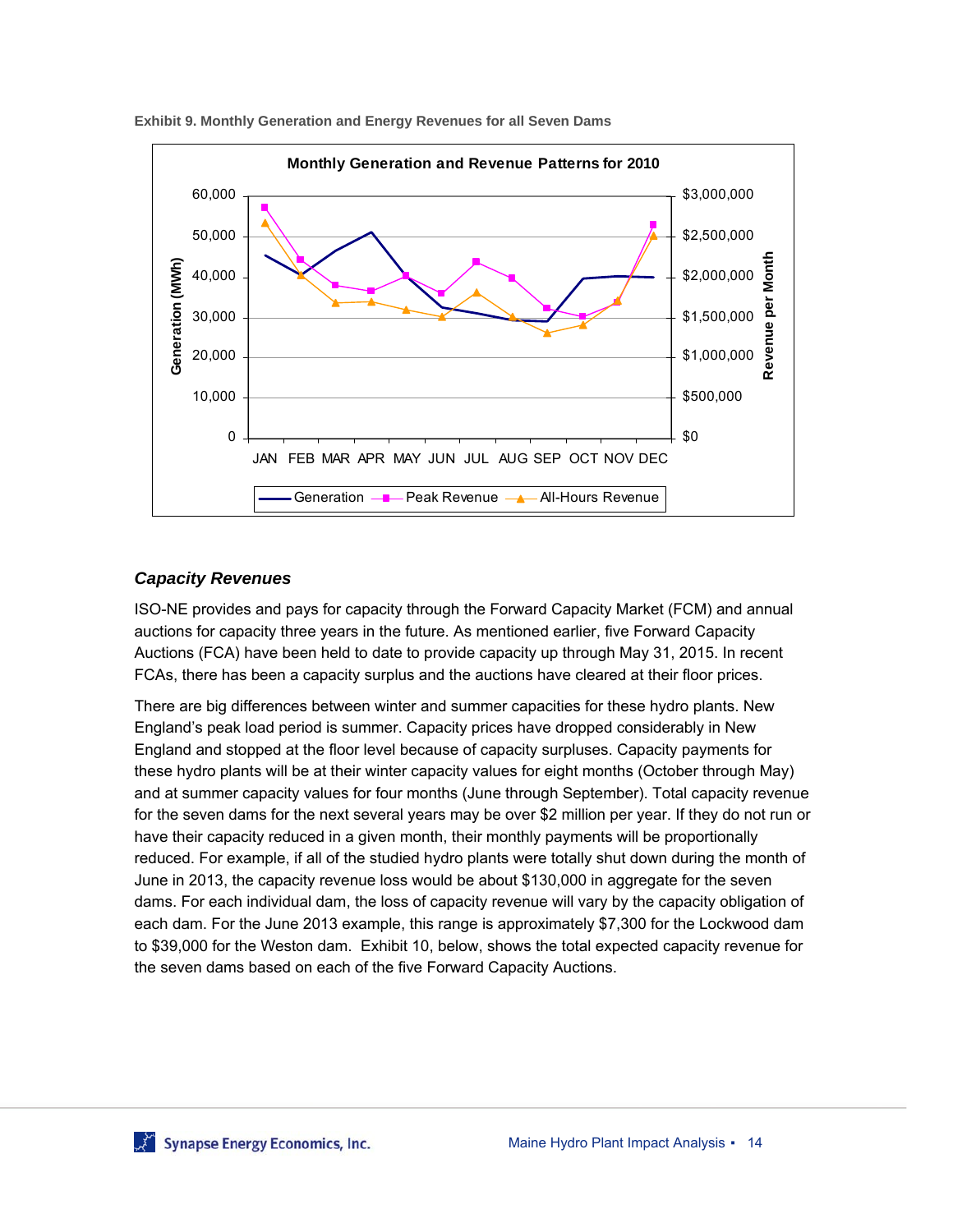

**Exhibit 9. Monthly Generation and Energy Revenues for all Seven Dams** 

#### *Capacity Revenues*

ISO-NE provides and pays for capacity through the Forward Capacity Market (FCM) and annual auctions for capacity three years in the future. As mentioned earlier, five Forward Capacity Auctions (FCA) have been held to date to provide capacity up through May 31, 2015. In recent FCAs, there has been a capacity surplus and the auctions have cleared at their floor prices.

There are big differences between winter and summer capacities for these hydro plants. New England's peak load period is summer. Capacity prices have dropped considerably in New England and stopped at the floor level because of capacity surpluses. Capacity payments for these hydro plants will be at their winter capacity values for eight months (October through May) and at summer capacity values for four months (June through September). Total capacity revenue for the seven dams for the next several years may be over \$2 million per year. If they do not run or have their capacity reduced in a given month, their monthly payments will be proportionally reduced. For example, if all of the studied hydro plants were totally shut down during the month of June in 2013, the capacity revenue loss would be about \$130,000 in aggregate for the seven dams. For each individual dam, the loss of capacity revenue will vary by the capacity obligation of each dam. For the June 2013 example, this range is approximately \$7,300 for the Lockwood dam to \$39,000 for the Weston dam. Exhibit 10, below, shows the total expected capacity revenue for the seven dams based on each of the five Forward Capacity Auctions.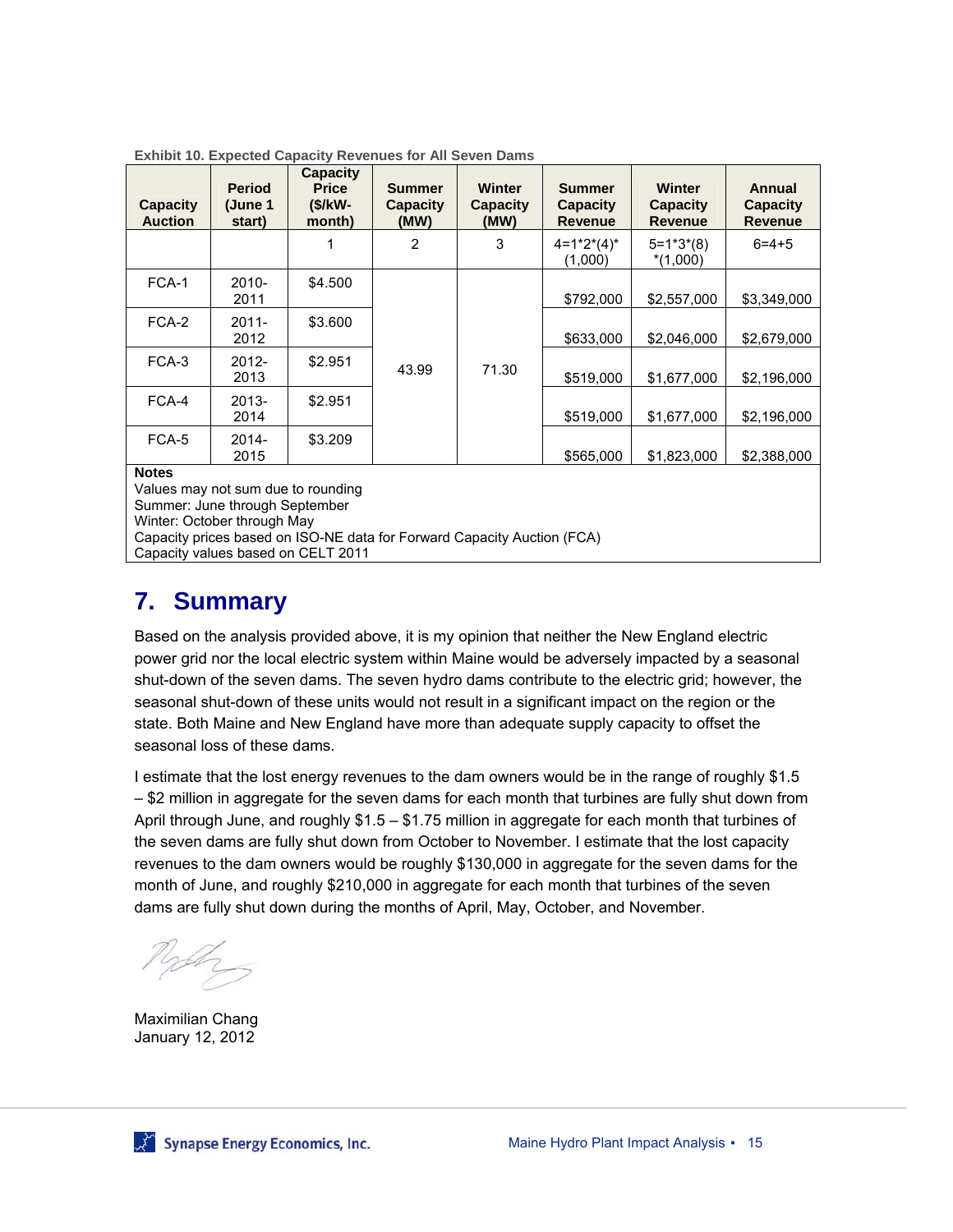| <b>Capacity</b><br><b>Auction</b> | <b>Period</b><br>(June 1<br>start) | <b>Capacity</b><br><b>Price</b><br>$(S/KW -$<br>month) | Summer<br>Capacity<br>(MW) | <b>Winter</b><br><b>Capacity</b><br>(MW) | <b>Summer</b><br><b>Capacity</b><br><b>Revenue</b> | <b>Winter</b><br><b>Capacity</b><br><b>Revenue</b> | <b>Annual</b><br><b>Capacity</b><br><b>Revenue</b> |             |             |
|-----------------------------------|------------------------------------|--------------------------------------------------------|----------------------------|------------------------------------------|----------------------------------------------------|----------------------------------------------------|----------------------------------------------------|-------------|-------------|
|                                   |                                    |                                                        | 2                          | 3                                        | $4=1*2*(4)*$<br>(1.000)                            | $5 = 1*3*(8)$<br>$*(1.000)$                        | $6 = 4 + 5$                                        |             |             |
| FCA-1                             | $2010 -$<br>2011                   | \$4.500                                                |                            |                                          | \$792,000                                          | \$2,557,000                                        | \$3,349,000                                        |             |             |
| FCA-2                             | $2011 -$<br>2012                   | \$3.600                                                | 43.99                      |                                          |                                                    |                                                    | \$633,000                                          | \$2,046,000 | \$2,679,000 |
| FCA-3                             | 2012-<br>2013                      | \$2.951                                                |                            |                                          | 71.30                                              | \$519,000                                          | \$1,677,000                                        | \$2,196,000 |             |
| FCA-4                             | $2013 -$<br>2014                   | \$2.951                                                |                            |                                          |                                                    | \$519,000                                          | \$1,677,000                                        | \$2,196,000 |             |
| FCA-5<br><b>Natas</b>             | 2014-<br>2015                      | \$3.209                                                |                            |                                          | \$565,000                                          | \$1,823,000                                        | \$2,388,000                                        |             |             |

#### **Exhibit 10. Expected Capacity Revenues for All Seven Dams**

**Notes** 

Values may not sum due to rounding Summer: June through September Winter: October through May Capacity prices based on ISO-NE data for Forward Capacity Auction (FCA) Capacity values based on CELT 2011

### **7. Summary**

Based on the analysis provided above, it is my opinion that neither the New England electric power grid nor the local electric system within Maine would be adversely impacted by a seasonal shut-down of the seven dams. The seven hydro dams contribute to the electric grid; however, the seasonal shut-down of these units would not result in a significant impact on the region or the state. Both Maine and New England have more than adequate supply capacity to offset the seasonal loss of these dams.

I estimate that the lost energy revenues to the dam owners would be in the range of roughly \$1.5 – \$2 million in aggregate for the seven dams for each month that turbines are fully shut down from April through June, and roughly \$1.5 – \$1.75 million in aggregate for each month that turbines of the seven dams are fully shut down from October to November. I estimate that the lost capacity revenues to the dam owners would be roughly \$130,000 in aggregate for the seven dams for the month of June, and roughly \$210,000 in aggregate for each month that turbines of the seven dams are fully shut down during the months of April, May, October, and November.

Maximilian Chang January 12, 2012